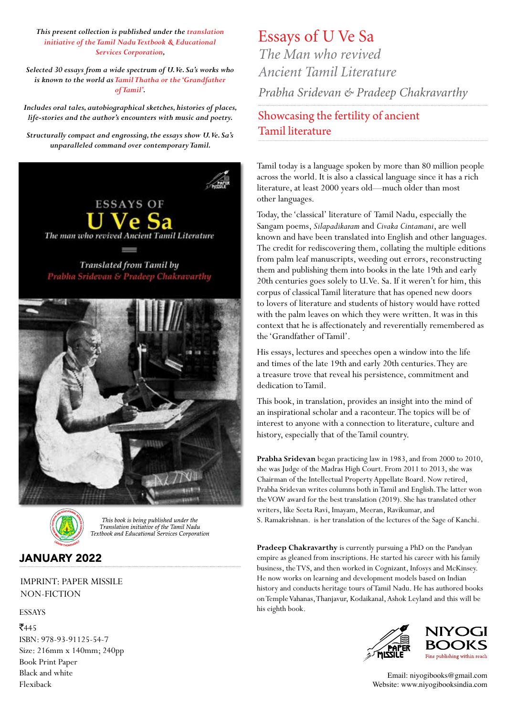*This present collection is published under the translation initiative of the Tamil Nadu Textbook & Educational Services Corporation,* 

*Selected 30 essays from a wide spectrum of U.Ve. Sa's works who is known to the world as Tamil Thatha or the 'Grandfather of Tamil'.* 

*Includes oral tales, autobiographical sketches, histories of places, life-stories and the author's encounters with music and poetry.*

*Structurally compact and engrossing, the essays show U.Ve. Sa's unparalleled command over contemporary Tamil.*





This book is being published under the Translation initiative of the Tamil Nadu Textbook and Educational Services Corporation

### JANUARY 2022

#### IMPRINT: PAPER MISSILE NON-FICTION

ESSAYS

#### ₹445

ISBN: 978-93-91125-54-7 Size: 216mm x 140mm; 240pp Book Print Paper Black and white Flexiback

## Essays of U Ve Sa

*The Man who revived Ancient Tamil Literature*

*Prabha Sridevan & Pradeep Chakravarthy*

Showcasing the fertility of ancient Tamil literature

Tamil today is a language spoken by more than 80 million people across the world. It is also a classical language since it has a rich literature, at least 2000 years old—much older than most other languages.

Today, the 'classical' literature of Tamil Nadu, especially the Sangam poems, *Silapadikaram* and *Civaka Cintamani*, are well known and have been translated into English and other languages. The credit for rediscovering them, collating the multiple editions from palm leaf manuscripts, weeding out errors, reconstructing them and publishing them into books in the late 19th and early 20th centuries goes solely to U.Ve. Sa. If it weren't for him, this corpus of classical Tamil literature that has opened new doors to lovers of literature and students of history would have rotted with the palm leaves on which they were written. It was in this context that he is affectionately and reverentially remembered as the 'Grandfather of Tamil'.

His essays, lectures and speeches open a window into the life and times of the late 19th and early 20th centuries. They are a treasure trove that reveal his persistence, commitment and dedication to Tamil.

This book, in translation, provides an insight into the mind of an inspirational scholar and a raconteur. The topics will be of interest to anyone with a connection to literature, culture and history, especially that of the Tamil country.

**Prabha Sridevan** began practicing law in 1983, and from 2000 to 2010, she was Judge of the Madras High Court. From 2011 to 2013, she was Chairman of the Intellectual Property Appellate Board. Now retired, Prabha Sridevan writes columns both in Tamil and English. The latter won the VOW award for the best translation (2019). She has translated other writers, like Seeta Ravi, Imayam, Meeran, Ravikumar, and S. Ramakrishnan. is her translation of the lectures of the Sage of Kanchi.

**Pradeep Chakravarthy** is currently pursuing a PhD on the Pandyan empire as gleaned from inscriptions. He started his career with his family business, the TVS, and then worked in Cognizant, Infosys and McKinsey. He now works on learning and development models based on Indian history and conducts heritage tours of Tamil Nadu. He has authored books on Temple Vahanas, Thanjavur, Kodaikanal, Ashok Leyland and this will be his eighth book.





Email: niyogibooks@gmail.com Website: www.niyogibooksindia.com